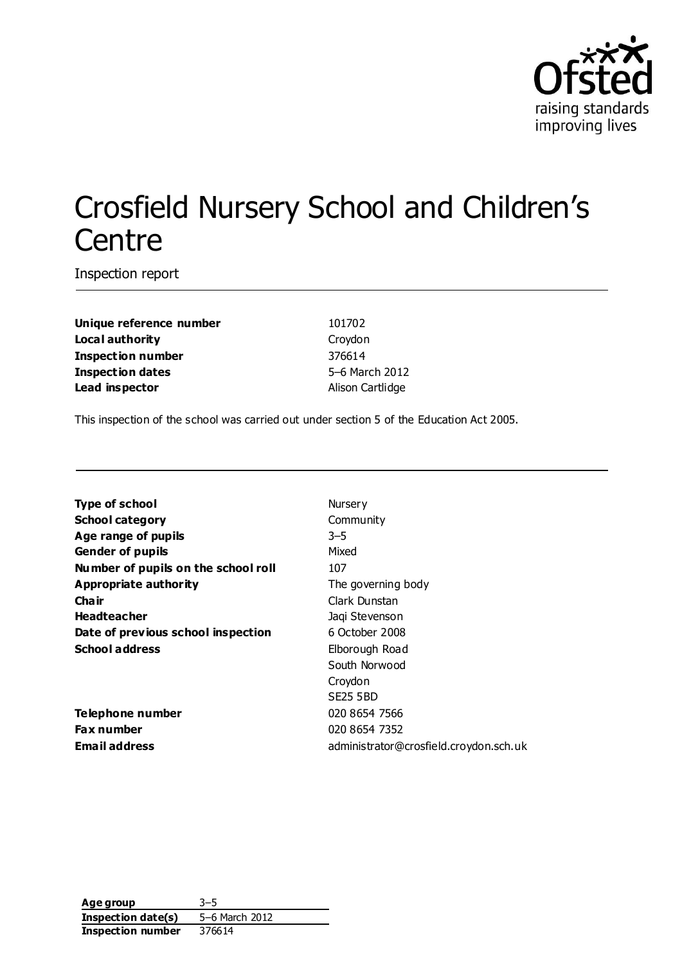

# Crosfield Nursery School and Children's **Centre**

Inspection report

**Unique reference number** 101702 **Local authority** Croydon **Inspection number** 376614 **Inspection dates** 5–6 March 2012 **Lead inspector and alison Cartlidge** 

This inspection of the school was carried out under section 5 of the Education Act 2005.

| <b>Type of school</b>               | Nursery                                |
|-------------------------------------|----------------------------------------|
| <b>School category</b>              | Community                              |
| Age range of pupils                 | $3 - 5$                                |
| <b>Gender of pupils</b>             | Mixed                                  |
| Number of pupils on the school roll | 107                                    |
| Appropriate authority               | The governing body                     |
| Cha ir                              | Clark Dunstan                          |
| <b>Headteacher</b>                  | Jaqi Stevenson                         |
| Date of previous school inspection  | 6 October 2008                         |
| <b>School address</b>               | Elborough Road                         |
|                                     | South Norwood                          |
|                                     | Croydon                                |
|                                     | SE25 5BD                               |
| Telephone number                    | 020 8654 7566                          |
| <b>Fax number</b>                   | 020 8654 7352                          |
| <b>Email address</b>                | administrator@crosfield.croydon.sch.uk |

| Age group                | $3 - 5$        |
|--------------------------|----------------|
| Inspection date(s)       | 5-6 March 2012 |
| <b>Inspection number</b> | 376614         |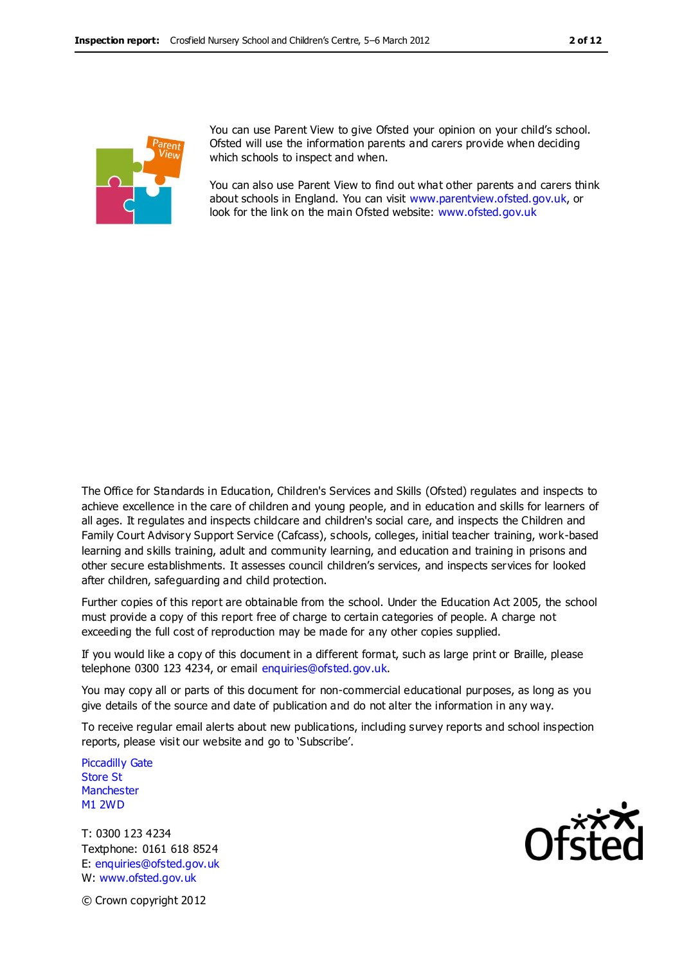

You can use Parent View to give Ofsted your opinion on your child's school. Ofsted will use the information parents and carers provide when deciding which schools to inspect and when.

You can also use Parent View to find out what other parents and carers think about schools in England. You can visit [www.parentview.ofsted.gov.uk,](http://www.parentview.ofsted.gov.uk/) or look for the link on the main Ofsted website: [www.ofsted.gov.uk](http://www.ofsted.gov.uk/)

The Office for Standards in Education, Children's Services and Skills (Ofsted) regulates and inspects to achieve excellence in the care of children and young people, and in education and skills for learners of all ages. It regulates and inspects childcare and children's social care, and inspects the Children and Family Court Advisory Support Service (Cafcass), schools, colleges, initial teacher training, work-based learning and skills training, adult and community learning, and education and training in prisons and other secure establishments. It assesses council children's services, and inspects services for looked after children, safeguarding and child protection.

Further copies of this report are obtainable from the school. Under the Education Act 2005, the school must provide a copy of this report free of charge to certain categories of people. A charge not exceeding the full cost of reproduction may be made for any other copies supplied.

If you would like a copy of this document in a different format, such as large print or Braille, please telephone 0300 123 4234, or email enquiries@ofsted.gov.uk.

You may copy all or parts of this document for non-commercial educational purposes, as long as you give details of the source and date of publication and do not alter the information in any way.

To receive regular email alerts about new publications, including survey reports and school inspection reports, please visit our website and go to 'Subscribe'.

Piccadilly Gate Store St **Manchester** M1 2WD

T: 0300 123 4234 Textphone: 0161 618 8524 E: enquiries@ofsted.gov.uk W: www.ofsted.gov.uk



© Crown copyright 2012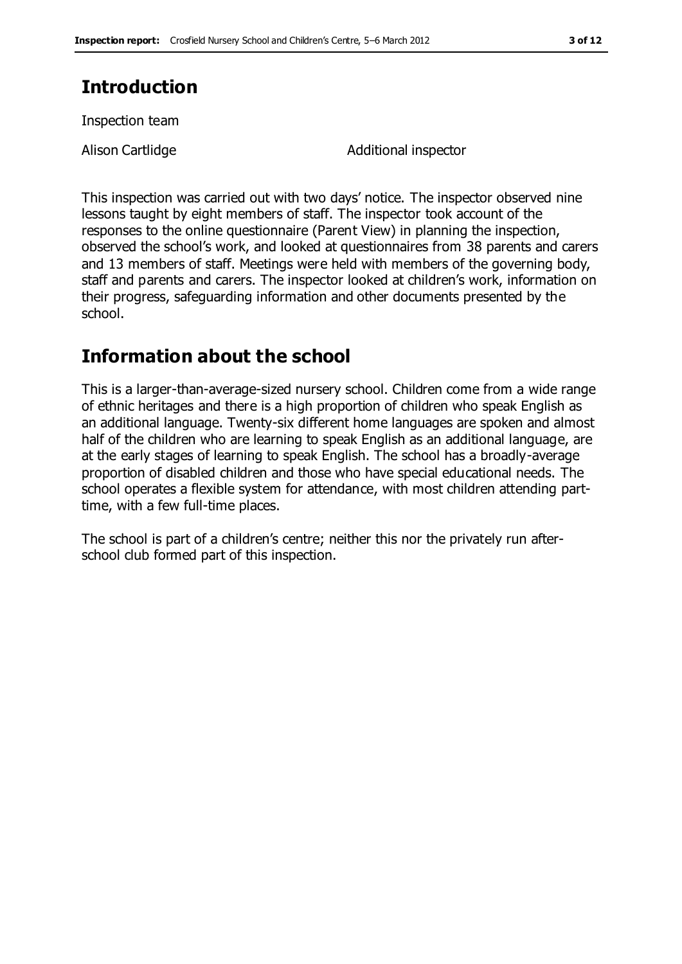# **Introduction**

Inspection team

Alison Cartlidge **Additional inspector** 

This inspection was carried out with two days' notice. The inspector observed nine lessons taught by eight members of staff. The inspector took account of the responses to the online questionnaire (Parent View) in planning the inspection, observed the school's work, and looked at questionnaires from 38 parents and carers and 13 members of staff. Meetings were held with members of the governing body, staff and parents and carers. The inspector looked at children's work, information on their progress, safeguarding information and other documents presented by the school.

## **Information about the school**

This is a larger-than-average-sized nursery school. Children come from a wide range of ethnic heritages and there is a high proportion of children who speak English as an additional language. Twenty-six different home languages are spoken and almost half of the children who are learning to speak English as an additional language, are at the early stages of learning to speak English. The school has a broadly-average proportion of disabled children and those who have special educational needs. The school operates a flexible system for attendance, with most children attending parttime, with a few full-time places.

The school is part of a children's centre; neither this nor the privately run afterschool club formed part of this inspection.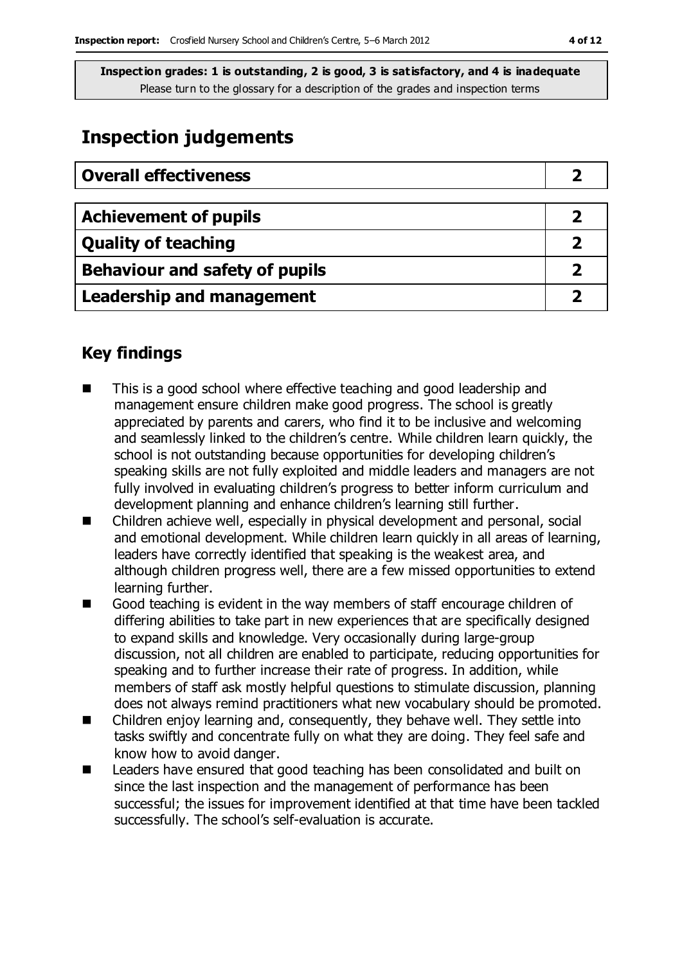# **Inspection judgements**

| <b>Overall effectiveness</b>     |  |
|----------------------------------|--|
|                                  |  |
| <b>Achievement of pupils</b>     |  |
| <b>Quality of teaching</b>       |  |
| Behaviour and safety of pupils   |  |
| <b>Leadership and management</b> |  |

### **Key findings**

- This is a good school where effective teaching and good leadership and management ensure children make good progress. The school is greatly appreciated by parents and carers, who find it to be inclusive and welcoming and seamlessly linked to the children's centre. While children learn quickly, the school is not outstanding because opportunities for developing children's speaking skills are not fully exploited and middle leaders and managers are not fully involved in evaluating children's progress to better inform curriculum and development planning and enhance children's learning still further.
- Children achieve well, especially in physical development and personal, social and emotional development. While children learn quickly in all areas of learning, leaders have correctly identified that speaking is the weakest area, and although children progress well, there are a few missed opportunities to extend learning further.
- Good teaching is evident in the way members of staff encourage children of differing abilities to take part in new experiences that are specifically designed to expand skills and knowledge. Very occasionally during large-group discussion, not all children are enabled to participate, reducing opportunities for speaking and to further increase their rate of progress. In addition, while members of staff ask mostly helpful questions to stimulate discussion, planning does not always remind practitioners what new vocabulary should be promoted.
- Children enjoy learning and, consequently, they behave well. They settle into tasks swiftly and concentrate fully on what they are doing. They feel safe and know how to avoid danger.
- Leaders have ensured that good teaching has been consolidated and built on since the last inspection and the management of performance has been successful; the issues for improvement identified at that time have been tackled successfully. The school's self-evaluation is accurate.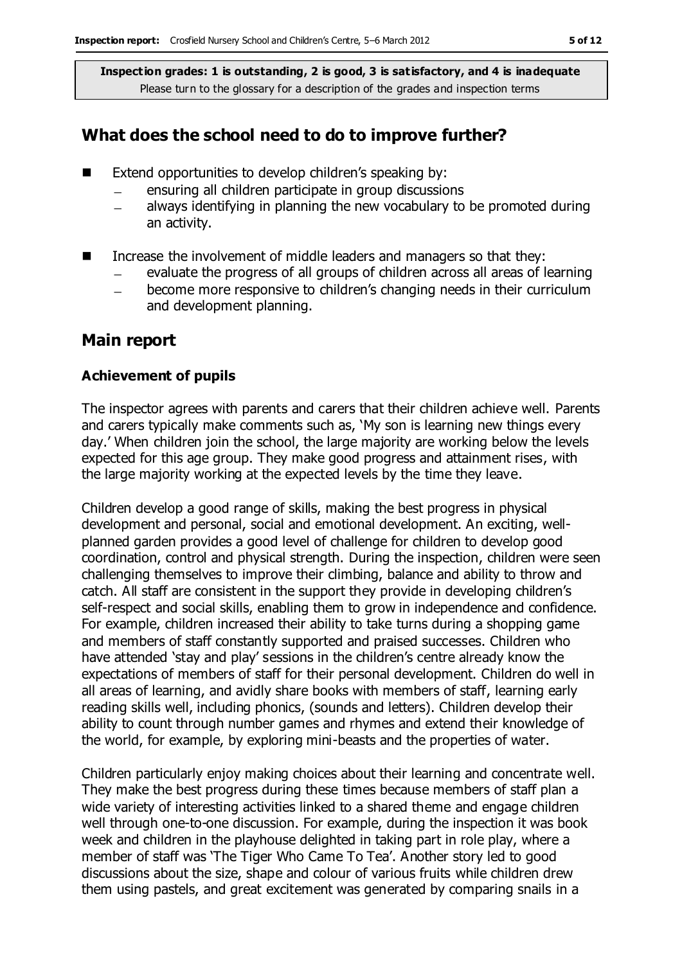### **What does the school need to do to improve further?**

- $\blacksquare$  Extend opportunities to develop children's speaking by:
	- ensuring all children participate in group discussions
	- always identifying in planning the new vocabulary to be promoted during  $\equiv$ an activity.
- Increase the involvement of middle leaders and managers so that they:
	- evaluate the progress of all groups of children across all areas of learning
	- become more responsive to children's changing needs in their curriculum  $\overline{\phantom{0}}$ and development planning.

### **Main report**

#### **Achievement of pupils**

The inspector agrees with parents and carers that their children achieve well. Parents and carers typically make comments such as, 'My son is learning new things every day.' When children join the school, the large majority are working below the levels expected for this age group. They make good progress and attainment rises, with the large majority working at the expected levels by the time they leave.

Children develop a good range of skills, making the best progress in physical development and personal, social and emotional development. An exciting, wellplanned garden provides a good level of challenge for children to develop good coordination, control and physical strength. During the inspection, children were seen challenging themselves to improve their climbing, balance and ability to throw and catch. All staff are consistent in the support they provide in developing children's self-respect and social skills, enabling them to grow in independence and confidence. For example, children increased their ability to take turns during a shopping game and members of staff constantly supported and praised successes. Children who have attended 'stay and play' sessions in the children's centre already know the expectations of members of staff for their personal development. Children do well in all areas of learning, and avidly share books with members of staff, learning early reading skills well, including phonics, (sounds and letters). Children develop their ability to count through number games and rhymes and extend their knowledge of the world, for example, by exploring mini-beasts and the properties of water.

Children particularly enjoy making choices about their learning and concentrate well. They make the best progress during these times because members of staff plan a wide variety of interesting activities linked to a shared theme and engage children well through one-to-one discussion. For example, during the inspection it was book week and children in the playhouse delighted in taking part in role play, where a member of staff was 'The Tiger Who Came To Tea'. Another story led to good discussions about the size, shape and colour of various fruits while children drew them using pastels, and great excitement was generated by comparing snails in a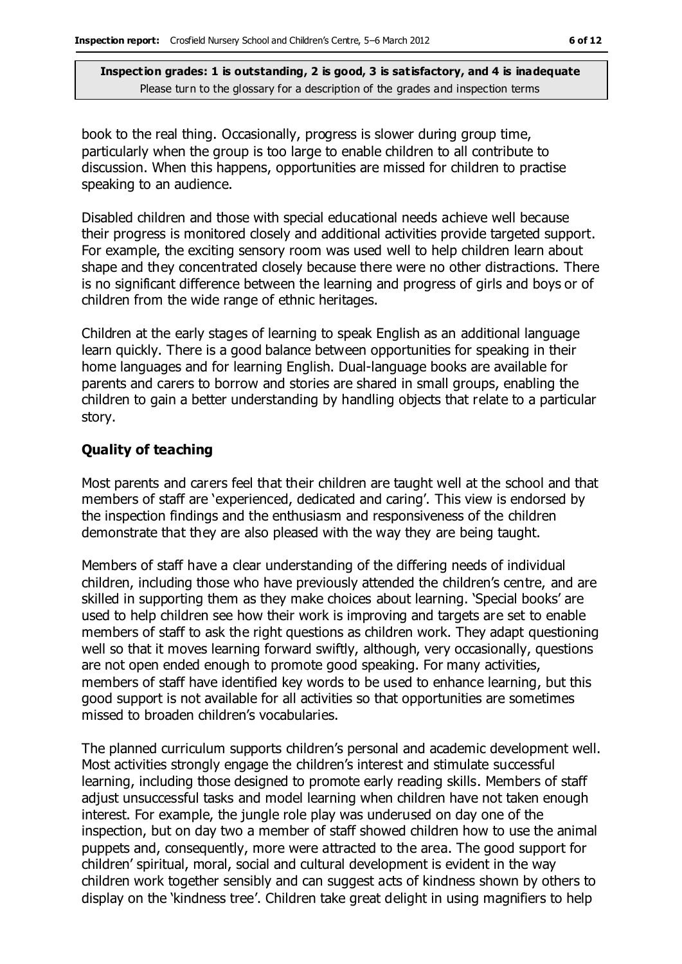book to the real thing. Occasionally, progress is slower during group time, particularly when the group is too large to enable children to all contribute to discussion. When this happens, opportunities are missed for children to practise speaking to an audience.

Disabled children and those with special educational needs achieve well because their progress is monitored closely and additional activities provide targeted support. For example, the exciting sensory room was used well to help children learn about shape and they concentrated closely because there were no other distractions. There is no significant difference between the learning and progress of girls and boys or of children from the wide range of ethnic heritages.

Children at the early stages of learning to speak English as an additional language learn quickly. There is a good balance between opportunities for speaking in their home languages and for learning English. Dual-language books are available for parents and carers to borrow and stories are shared in small groups, enabling the children to gain a better understanding by handling objects that relate to a particular story.

#### **Quality of teaching**

Most parents and carers feel that their children are taught well at the school and that members of staff are 'experienced, dedicated and caring'. This view is endorsed by the inspection findings and the enthusiasm and responsiveness of the children demonstrate that they are also pleased with the way they are being taught.

Members of staff have a clear understanding of the differing needs of individual children, including those who have previously attended the children's centre, and are skilled in supporting them as they make choices about learning. 'Special books' are used to help children see how their work is improving and targets are set to enable members of staff to ask the right questions as children work. They adapt questioning well so that it moves learning forward swiftly, although, very occasionally, questions are not open ended enough to promote good speaking. For many activities, members of staff have identified key words to be used to enhance learning, but this good support is not available for all activities so that opportunities are sometimes missed to broaden children's vocabularies.

The planned curriculum supports children's personal and academic development well. Most activities strongly engage the children's interest and stimulate successful learning, including those designed to promote early reading skills. Members of staff adjust unsuccessful tasks and model learning when children have not taken enough interest. For example, the jungle role play was underused on day one of the inspection, but on day two a member of staff showed children how to use the animal puppets and, consequently, more were attracted to the area. The good support for children' spiritual, moral, social and cultural development is evident in the way children work together sensibly and can suggest acts of kindness shown by others to display on the 'kindness tree'. Children take great delight in using magnifiers to help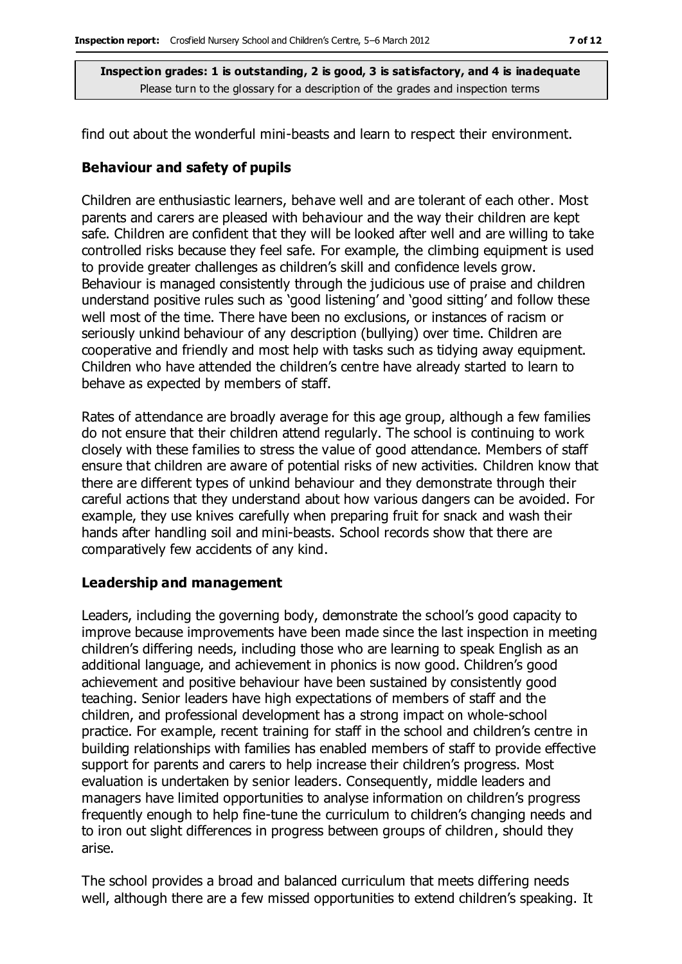find out about the wonderful mini-beasts and learn to respect their environment.

#### **Behaviour and safety of pupils**

Children are enthusiastic learners, behave well and are tolerant of each other. Most parents and carers are pleased with behaviour and the way their children are kept safe. Children are confident that they will be looked after well and are willing to take controlled risks because they feel safe. For example, the climbing equipment is used to provide greater challenges as children's skill and confidence levels grow. Behaviour is managed consistently through the judicious use of praise and children understand positive rules such as 'good listening' and 'good sitting' and follow these well most of the time. There have been no exclusions, or instances of racism or seriously unkind behaviour of any description (bullying) over time. Children are cooperative and friendly and most help with tasks such as tidying away equipment. Children who have attended the children's centre have already started to learn to behave as expected by members of staff.

Rates of attendance are broadly average for this age group, although a few families do not ensure that their children attend regularly. The school is continuing to work closely with these families to stress the value of good attendance. Members of staff ensure that children are aware of potential risks of new activities. Children know that there are different types of unkind behaviour and they demonstrate through their careful actions that they understand about how various dangers can be avoided. For example, they use knives carefully when preparing fruit for snack and wash their hands after handling soil and mini-beasts. School records show that there are comparatively few accidents of any kind.

#### **Leadership and management**

Leaders, including the governing body, demonstrate the school's good capacity to improve because improvements have been made since the last inspection in meeting children's differing needs, including those who are learning to speak English as an additional language, and achievement in phonics is now good. Children's good achievement and positive behaviour have been sustained by consistently good teaching. Senior leaders have high expectations of members of staff and the children, and professional development has a strong impact on whole-school practice. For example, recent training for staff in the school and children's centre in building relationships with families has enabled members of staff to provide effective support for parents and carers to help increase their children's progress. Most evaluation is undertaken by senior leaders. Consequently, middle leaders and managers have limited opportunities to analyse information on children's progress frequently enough to help fine-tune the curriculum to children's changing needs and to iron out slight differences in progress between groups of children, should they arise.

The school provides a broad and balanced curriculum that meets differing needs well, although there are a few missed opportunities to extend children's speaking. It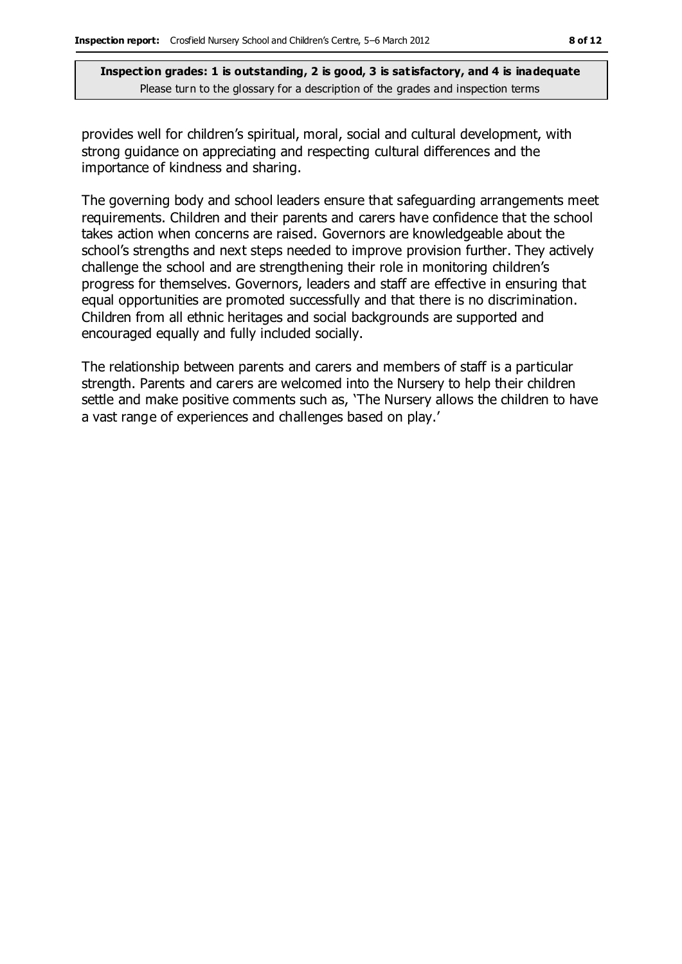provides well for children's spiritual, moral, social and cultural development, with strong guidance on appreciating and respecting cultural differences and the importance of kindness and sharing.

The governing body and school leaders ensure that safeguarding arrangements meet requirements. Children and their parents and carers have confidence that the school takes action when concerns are raised. Governors are knowledgeable about the school's strengths and next steps needed to improve provision further. They actively challenge the school and are strengthening their role in monitoring children's progress for themselves. Governors, leaders and staff are effective in ensuring that equal opportunities are promoted successfully and that there is no discrimination. Children from all ethnic heritages and social backgrounds are supported and encouraged equally and fully included socially.

The relationship between parents and carers and members of staff is a particular strength. Parents and carers are welcomed into the Nursery to help their children settle and make positive comments such as, 'The Nursery allows the children to have a vast range of experiences and challenges based on play.'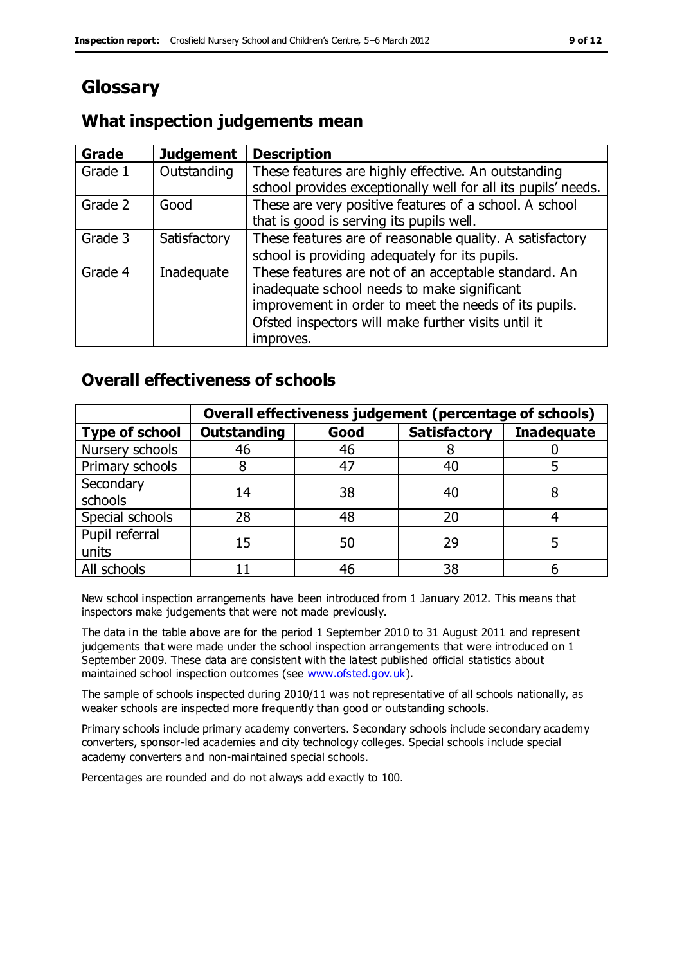# **Glossary**

### **What inspection judgements mean**

| <b>Grade</b> | <b>Judgement</b> | <b>Description</b>                                                                                                   |
|--------------|------------------|----------------------------------------------------------------------------------------------------------------------|
| Grade 1      | Outstanding      | These features are highly effective. An outstanding<br>school provides exceptionally well for all its pupils' needs. |
|              |                  |                                                                                                                      |
| Grade 2      | Good             | These are very positive features of a school. A school                                                               |
|              |                  | that is good is serving its pupils well.                                                                             |
| Grade 3      | Satisfactory     | These features are of reasonable quality. A satisfactory                                                             |
|              |                  | school is providing adequately for its pupils.                                                                       |
| Grade 4      | Inadequate       | These features are not of an acceptable standard. An                                                                 |
|              |                  | inadequate school needs to make significant                                                                          |
|              |                  | improvement in order to meet the needs of its pupils.                                                                |
|              |                  | Ofsted inspectors will make further visits until it                                                                  |
|              |                  | improves.                                                                                                            |

### **Overall effectiveness of schools**

|                         | Overall effectiveness judgement (percentage of schools) |      |                     |                   |
|-------------------------|---------------------------------------------------------|------|---------------------|-------------------|
| <b>Type of school</b>   | <b>Outstanding</b>                                      | Good | <b>Satisfactory</b> | <b>Inadequate</b> |
| Nursery schools         | 46                                                      | 46   |                     |                   |
| Primary schools         |                                                         | 47   | 40                  |                   |
| Secondary<br>schools    | 14                                                      | 38   | 40                  |                   |
| Special schools         | 28                                                      | 48   | 20                  |                   |
| Pupil referral<br>units | 15                                                      | 50   | 29                  |                   |
| All schools             |                                                         | 46   | 38                  |                   |

New school inspection arrangements have been introduced from 1 January 2012. This means that inspectors make judgements that were not made previously.

The data in the table above are for the period 1 September 2010 to 31 August 2011 and represent judgements that were made under the school inspection arrangements that were introduced on 1 September 2009. These data are consistent with the latest published official statistics about maintained school inspection outcomes (see [www.ofsted.gov.uk\)](http://www.ofsted.gov.uk/).

The sample of schools inspected during 2010/11 was not representative of all schools nationally, as weaker schools are inspected more frequently than good or outstanding schools.

Primary schools include primary academy converters. Secondary schools include secondary academy converters, sponsor-led academies and city technology colleges. Special schools include special academy converters and non-maintained special schools.

Percentages are rounded and do not always add exactly to 100.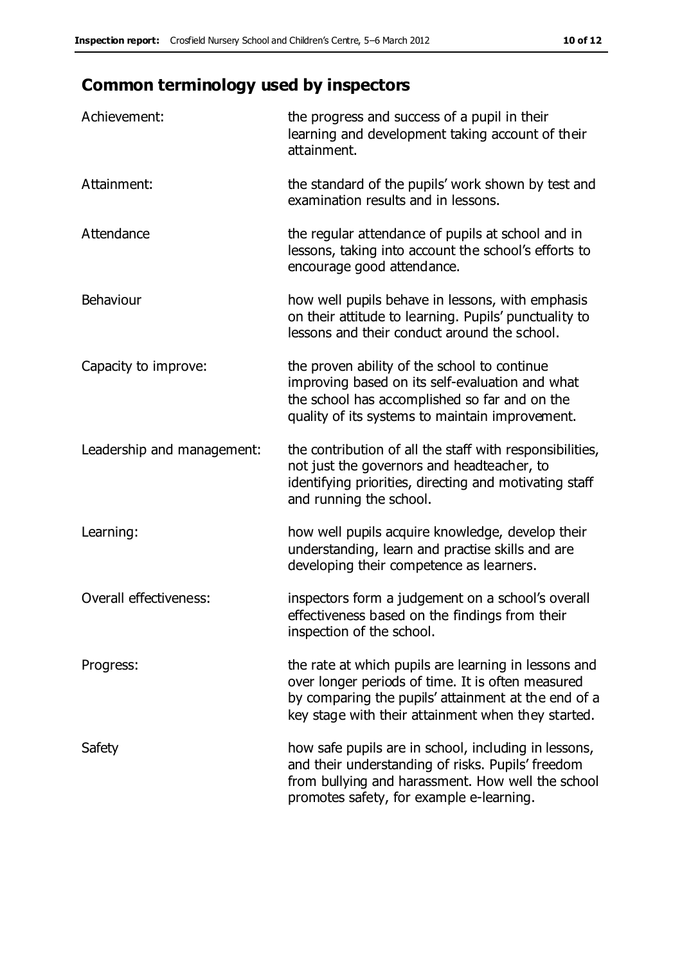# **Common terminology used by inspectors**

| Achievement:                  | the progress and success of a pupil in their<br>learning and development taking account of their<br>attainment.                                                                                                        |
|-------------------------------|------------------------------------------------------------------------------------------------------------------------------------------------------------------------------------------------------------------------|
| Attainment:                   | the standard of the pupils' work shown by test and<br>examination results and in lessons.                                                                                                                              |
| Attendance                    | the regular attendance of pupils at school and in<br>lessons, taking into account the school's efforts to<br>encourage good attendance.                                                                                |
| Behaviour                     | how well pupils behave in lessons, with emphasis<br>on their attitude to learning. Pupils' punctuality to<br>lessons and their conduct around the school.                                                              |
| Capacity to improve:          | the proven ability of the school to continue<br>improving based on its self-evaluation and what<br>the school has accomplished so far and on the<br>quality of its systems to maintain improvement.                    |
| Leadership and management:    | the contribution of all the staff with responsibilities,<br>not just the governors and headteacher, to<br>identifying priorities, directing and motivating staff<br>and running the school.                            |
| Learning:                     | how well pupils acquire knowledge, develop their<br>understanding, learn and practise skills and are<br>developing their competence as learners.                                                                       |
| <b>Overall effectiveness:</b> | inspectors form a judgement on a school's overall<br>effectiveness based on the findings from their<br>inspection of the school.                                                                                       |
| Progress:                     | the rate at which pupils are learning in lessons and<br>over longer periods of time. It is often measured<br>by comparing the pupils' attainment at the end of a<br>key stage with their attainment when they started. |
| Safety                        | how safe pupils are in school, including in lessons,<br>and their understanding of risks. Pupils' freedom<br>from bullying and harassment. How well the school<br>promotes safety, for example e-learning.             |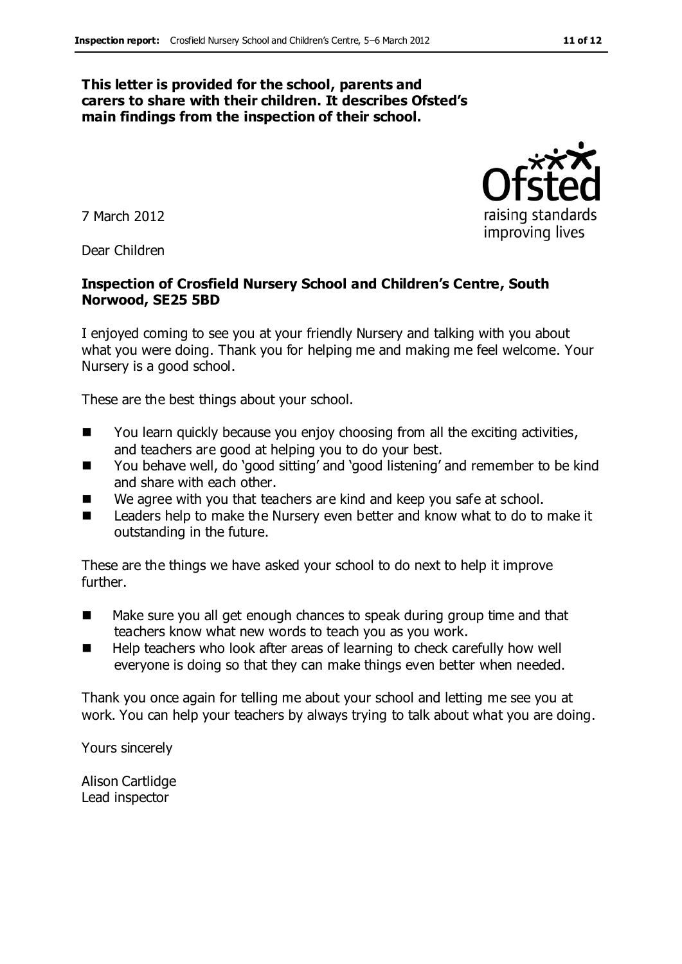#### **This letter is provided for the school, parents and carers to share with their children. It describes Ofsted's main findings from the inspection of their school.**

7 March 2012

Dear Children

#### **Inspection of Crosfield Nursery School and Children's Centre, South Norwood, SE25 5BD**

I enjoyed coming to see you at your friendly Nursery and talking with you about what you were doing. Thank you for helping me and making me feel welcome. Your Nursery is a good school.

These are the best things about your school.

- $\blacksquare$  You learn quickly because you enjoy choosing from all the exciting activities, and teachers are good at helping you to do your best.
- You behave well, do 'good sitting' and 'good listening' and remember to be kind and share with each other.
- We agree with you that teachers are kind and keep you safe at school.
- Leaders help to make the Nursery even better and know what to do to make it outstanding in the future.

These are the things we have asked your school to do next to help it improve further.

- Make sure you all get enough chances to speak during group time and that teachers know what new words to teach you as you work.
- Help teachers who look after areas of learning to check carefully how well everyone is doing so that they can make things even better when needed.

Thank you once again for telling me about your school and letting me see you at work. You can help your teachers by always trying to talk about what you are doing.

Yours sincerely

Alison Cartlidge Lead inspector